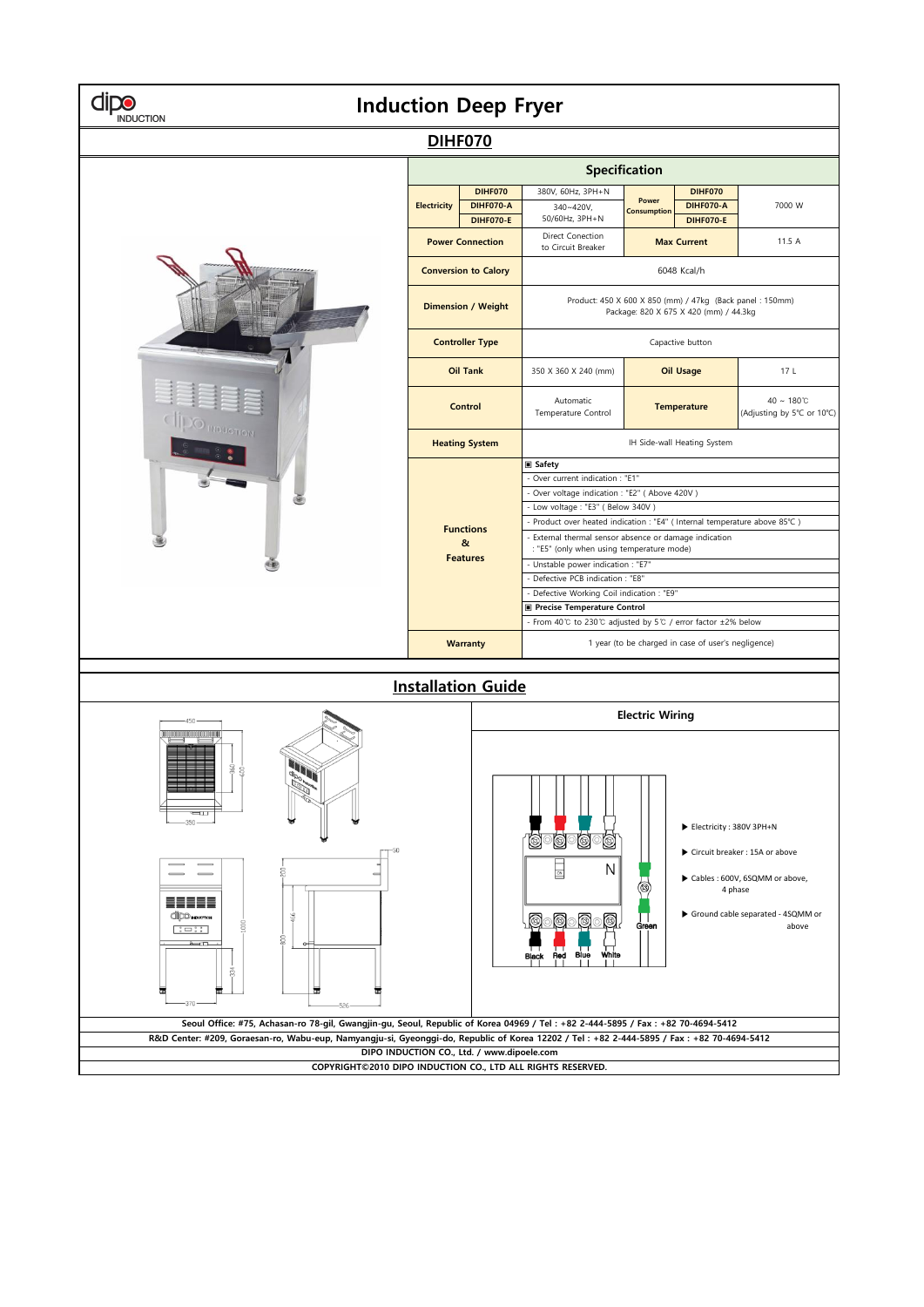